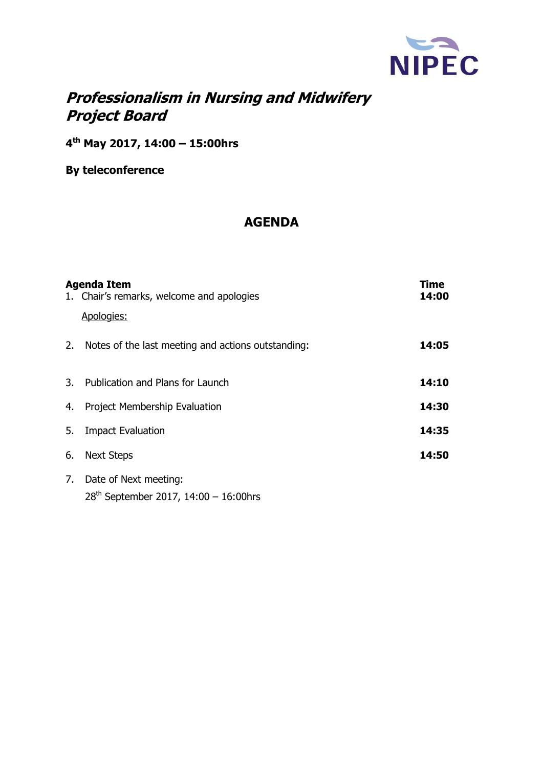

# **Professionalism in Nursing and Midwifery Project Board**

**4 th May 2017, 14:00 – 15:00hrs** 

**By teleconference** 

## **AGENDA**

|    | <b>Agenda Item</b><br>1. Chair's remarks, welcome and apologies<br>Apologies: | Time<br>14:00 |
|----|-------------------------------------------------------------------------------|---------------|
|    | 2. Notes of the last meeting and actions outstanding:                         | 14:05         |
|    | 3. Publication and Plans for Launch                                           | 14:10         |
| 4. | <b>Project Membership Evaluation</b>                                          | 14:30         |
| 5. | <b>Impact Evaluation</b>                                                      | 14:35         |
| 6. | <b>Next Steps</b>                                                             | 14:50         |
| 7. | Date of Next meeting:<br>$28^{th}$ September 2017, 14:00 - 16:00hrs           |               |